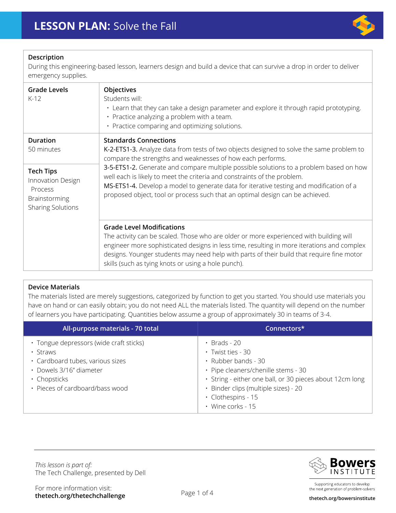

## **Description**

During this engineering-based lesson, learners design and build a device that can survive a drop in order to deliver emergency supplies.

| Objectives<br>Students will:<br>• Learn that they can take a design parameter and explore it through rapid prototyping.<br>• Practice analyzing a problem with a team.<br>• Practice comparing and optimizing solutions.                                                                                                                                                                                                                                                                                                                 |  |
|------------------------------------------------------------------------------------------------------------------------------------------------------------------------------------------------------------------------------------------------------------------------------------------------------------------------------------------------------------------------------------------------------------------------------------------------------------------------------------------------------------------------------------------|--|
| <b>Standards Connections</b><br>K-2-ETS1-3. Analyze data from tests of two objects designed to solve the same problem to<br>compare the strengths and weaknesses of how each performs.<br>3-5-ETS1-2. Generate and compare multiple possible solutions to a problem based on how<br>well each is likely to meet the criteria and constraints of the problem.<br>MS-ETS1-4. Develop a model to generate data for iterative testing and modification of a<br>proposed object, tool or process such that an optimal design can be achieved. |  |
|                                                                                                                                                                                                                                                                                                                                                                                                                                                                                                                                          |  |
|                                                                                                                                                                                                                                                                                                                                                                                                                                                                                                                                          |  |

### **Device Materials**

The materials listed are merely suggestions, categorized by function to get you started. You should use materials you have on hand or can easily obtain; you do not need ALL the materials listed. The quantity will depend on the number of learners you have participating. Quantities below assume a group of approximately 30 in teams of 3-4.

| All-purpose materials - 70 total                                                                                                                                            | Connectors*                                                                                                                                                                                                                                                      |
|-----------------------------------------------------------------------------------------------------------------------------------------------------------------------------|------------------------------------------------------------------------------------------------------------------------------------------------------------------------------------------------------------------------------------------------------------------|
| · Tongue depressors (wide craft sticks)<br>$\cdot$ Straws<br>· Cardboard tubes, various sizes<br>· Dowels 3/16" diameter<br>· Chopsticks<br>• Pieces of cardboard/bass wood | $\cdot$ Brads - 20<br>$\cdot$ Twist ties - 30<br>$\cdot$ Rubber bands - 30<br>• Pipe cleaners/chenille stems - 30<br>· String - either one ball, or 30 pieces about 12cm long<br>· Binder clips (multiple sizes) - 20<br>· Clothespins - 15<br>· Wine corks - 15 |

The Tech Challenge, presented by Dell *This lesson is part of:* 



Supporting educators to develop the next generation of problem-solvers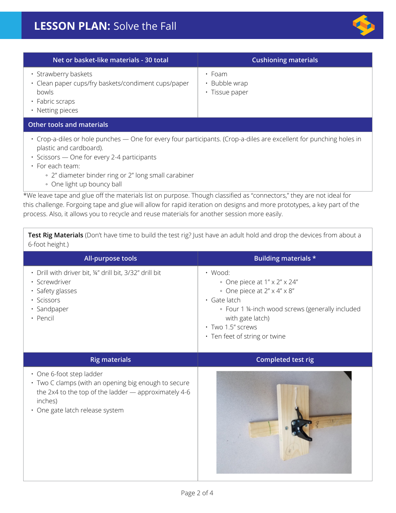

| Net or basket-like materials - 30 total                                                                                                                                                                                                                                                                                                                                                                                                                                                                                                                                                                                                                    | <b>Cushioning materials</b>                                                                                                                                    |  |  |
|------------------------------------------------------------------------------------------------------------------------------------------------------------------------------------------------------------------------------------------------------------------------------------------------------------------------------------------------------------------------------------------------------------------------------------------------------------------------------------------------------------------------------------------------------------------------------------------------------------------------------------------------------------|----------------------------------------------------------------------------------------------------------------------------------------------------------------|--|--|
| · Strawberry baskets<br>· Clean paper cups/fry baskets/condiment cups/paper<br>bowls<br>· Fabric scraps<br>• Netting pieces                                                                                                                                                                                                                                                                                                                                                                                                                                                                                                                                | · Foam<br>· Bubble wrap<br>· Tissue paper                                                                                                                      |  |  |
| <b>Other tools and materials</b>                                                                                                                                                                                                                                                                                                                                                                                                                                                                                                                                                                                                                           |                                                                                                                                                                |  |  |
| · Crop-a-diles or hole punches - One for every four participants. (Crop-a-diles are excellent for punching holes in<br>plastic and cardboard).<br>· Scissors - One for every 2-4 participants<br>· For each team:<br>• 2" diameter binder ring or 2" long small carabiner<br>• One light up bouncy ball<br>*We leave tape and glue off the materials list on purpose. Though classified as "connectors," they are not ideal for<br>this challenge. Forgoing tape and glue will allow for rapid iteration on designs and more prototypes, a key part of the<br>process. Also, it allows you to recycle and reuse materials for another session more easily. |                                                                                                                                                                |  |  |
| Test Rig Materials (Don't have time to build the test rig? Just have an adult hold and drop the devices from about a<br>6-foot height.)                                                                                                                                                                                                                                                                                                                                                                                                                                                                                                                    |                                                                                                                                                                |  |  |
| <b>All-purpose tools</b>                                                                                                                                                                                                                                                                                                                                                                                                                                                                                                                                                                                                                                   | <b>Building materials *</b>                                                                                                                                    |  |  |
| · Drill with driver bit, ¼" drill bit, 3/32" drill bit<br>· Screwdriver<br>· Safety glasses<br>· Scissors<br>· Sandpaper<br>• Pencil                                                                                                                                                                                                                                                                                                                                                                                                                                                                                                                       | · Wood:<br>• One piece at 1" x 2" x 24"<br>• One piece at 2" x 4" x 8"<br>· Gate latch<br>• Four 1 14-inch wood screws (generally included<br>with gate latch) |  |  |

- Two 1.5" screws
- Ten feet of string or twine

| <b>Rig materials</b>                                                                                                                                                                   | Completed test rig |
|----------------------------------------------------------------------------------------------------------------------------------------------------------------------------------------|--------------------|
| • One 6-foot step ladder<br>• Two C clamps (with an opening big enough to secure<br>the 2x4 to the top of the ladder - approximately 4-6<br>inches)<br>• One gate latch release system |                    |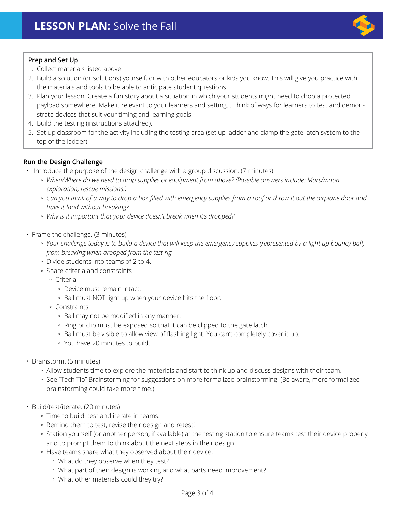

## **Prep and Set Up**

- 1. Collect materials listed above.
- 2. Build a solution (or solutions) yourself, or with other educators or kids you know. This will give you practice with the materials and tools to be able to anticipate student questions.
- 3. Plan your lesson. Create a fun story about a situation in which your students might need to drop a protected payload somewhere. Make it relevant to your learners and setting. . Think of ways for learners to test and demonstrate devices that suit your timing and learning goals.
- 4. Build the test rig (instructions attached).
- 5. Set up classroom for the activity including the testing area (set up ladder and clamp the gate latch system to the top of the ladder).

# **Run the Design Challenge**

- Introduce the purpose of the design challenge with a group discussion. (7 minutes)
	- *When/Where do we need to drop supplies or equipment from above? (Possible answers include: Mars/moon exploration, rescue missions.)*
	- *Can you think of a way to drop a box filled with emergency supplies from a roof or throw it out the airplane door and have it land without breaking?*
	- *Why is it important that your device doesn't break when it's dropped?*
- Frame the challenge. (3 minutes)
	- *Your challenge today is to build a device that will keep the emergency supplies (represented by a light up bouncy ball) from breaking when dropped from the test rig.*
	- Divide students into teams of 2 to 4.
	- Share criteria and constraints
		- Criteria
			- Device must remain intact.
			- Ball must NOT light up when your device hits the floor.
		- Constraints
			- Ball may not be modified in any manner.
			- Ring or clip must be exposed so that it can be clipped to the gate latch.
			- Ball must be visible to allow view of flashing light. You can't completely cover it up.
			- You have 20 minutes to build.
- Brainstorm. (5 minutes)
	- Allow students time to explore the materials and start to think up and discuss designs with their team.
	- See "Tech Tip" Brainstorming for suggestions on more formalized brainstorming. (Be aware, more formalized brainstorming could take more time.)
- Build/test/iterate. (20 minutes)
	- Time to build, test and iterate in teams!
	- Remind them to test, revise their design and retest!
	- Station yourself (or another person, if available) at the testing station to ensure teams test their device properly and to prompt them to think about the next steps in their design.
	- Have teams share what they observed about their device.
		- What do they observe when they test?
		- What part of their design is working and what parts need improvement?
		- What other materials could they try?